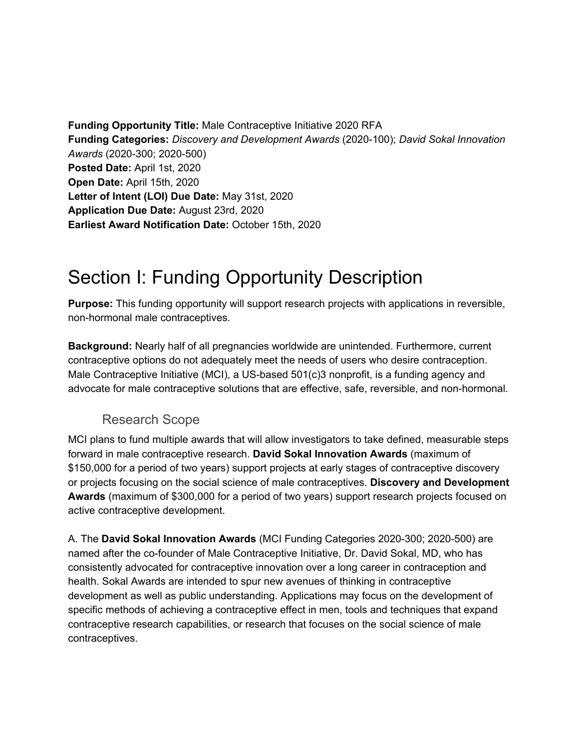**Funding Opportunity Title:** Male Contraceptive Initiative 2020 RFA **Funding Categories:** *Discovery and Development Awards* (2020-100); *David Sokal Innovation Awards* (2020-300; 2020-500) **Posted Date:** April 1st, 2020 **Open Date:** April 15th, 2020 **Letter of Intent (LOI) Due Date:** May 31st, 2020 **Application Due Date:** August 23rd, 2020 **Earliest Award Notification Date:** October 15th, 2020

### Section I: Funding Opportunity Description

**Purpose:** This funding opportunity will support research projects with applications in reversible, non-hormonal male contraceptives.

**Background:** Nearly half of all pregnancies worldwide are unintended. Furthermore, current contraceptive options do not adequately meet the needs of users who desire contraception. Male Contraceptive Initiative (MCI), a US-based 501(c)3 nonprofit, is a funding agency and advocate for male contraceptive solutions that are effective, safe, reversible, and non-hormonal.

#### Research Scope

MCI plans to fund multiple awards that will allow investigators to take defined, measurable steps forward in male contraceptive research. **David Sokal Innovation Awards** (maximum of \$150,000 for a period of two years) support projects at early stages of contraceptive discovery or projects focusing on the social science of male contraceptives. **Discovery and Development Awards** (maximum of \$300,000 for a period of two years) support research projects focused on active contraceptive development.

A. The **David Sokal Innovation Awards** (MCI Funding Categories 2020-300; 2020-500) are named after the co-founder of Male Contraceptive Initiative, Dr. David Sokal, MD, who has consistently advocated for contraceptive innovation over a long career in contraception and health. Sokal Awards are intended to spur new avenues of thinking in contraceptive development as well as public understanding. Applications may focus on the development of specific methods of achieving a contraceptive effect in men, tools and techniques that expand contraceptive research capabilities, or research that focuses on the social science of male contraceptives.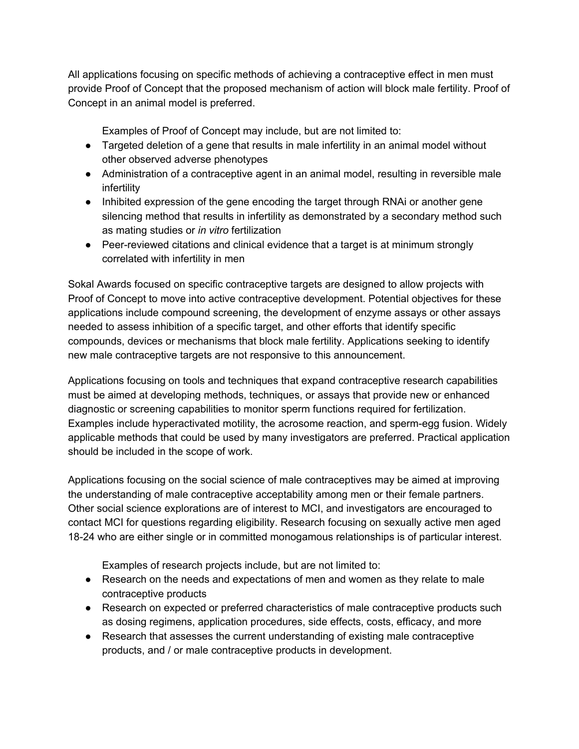All applications focusing on specific methods of achieving a contraceptive effect in men must provide Proof of Concept that the proposed mechanism of action will block male fertility. Proof of Concept in an animal model is preferred.

Examples of Proof of Concept may include, but are not limited to:

- Targeted deletion of a gene that results in male infertility in an animal model without other observed adverse phenotypes
- Administration of a contraceptive agent in an animal model, resulting in reversible male infertility
- Inhibited expression of the gene encoding the target through RNAi or another gene silencing method that results in infertility as demonstrated by a secondary method such as mating studies or *in vitro* fertilization
- Peer-reviewed citations and clinical evidence that a target is at minimum strongly correlated with infertility in men

Sokal Awards focused on specific contraceptive targets are designed to allow projects with Proof of Concept to move into active contraceptive development. Potential objectives for these applications include compound screening, the development of enzyme assays or other assays needed to assess inhibition of a specific target, and other efforts that identify specific compounds, devices or mechanisms that block male fertility. Applications seeking to identify new male contraceptive targets are not responsive to this announcement.

Applications focusing on tools and techniques that expand contraceptive research capabilities must be aimed at developing methods, techniques, or assays that provide new or enhanced diagnostic or screening capabilities to monitor sperm functions required for fertilization. Examples include hyperactivated motility, the acrosome reaction, and sperm-egg fusion. Widely applicable methods that could be used by many investigators are preferred. Practical application should be included in the scope of work.

Applications focusing on the social science of male contraceptives may be aimed at improving the understanding of male contraceptive acceptability among men or their female partners. Other social science explorations are of interest to MCI, and investigators are encouraged to contact MCI for questions regarding eligibility. Research focusing on sexually active men aged 18-24 who are either single or in committed monogamous relationships is of particular interest.

Examples of research projects include, but are not limited to:

- Research on the needs and expectations of men and women as they relate to male contraceptive products
- Research on expected or preferred characteristics of male contraceptive products such as dosing regimens, application procedures, side effects, costs, efficacy, and more
- Research that assesses the current understanding of existing male contraceptive products, and / or male contraceptive products in development.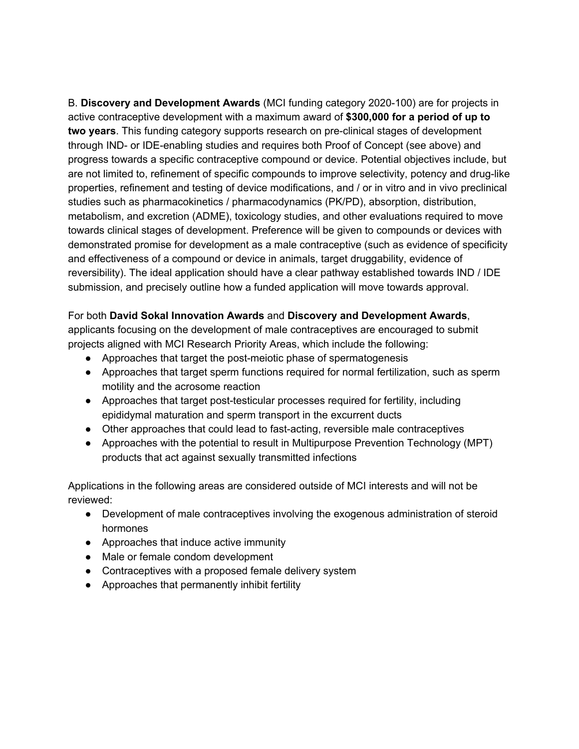B. **Discovery and Development Awards** (MCI funding category 2020-100) are for projects in active contraceptive development with a maximum award of **\$300,000 for a period of up to two years**. This funding category supports research on pre-clinical stages of development through IND- or IDE-enabling studies and requires both Proof of Concept (see above) and progress towards a specific contraceptive compound or device. Potential objectives include, but are not limited to, refinement of specific compounds to improve selectivity, potency and drug-like properties, refinement and testing of device modifications, and / or in vitro and in vivo preclinical studies such as pharmacokinetics / pharmacodynamics (PK/PD), absorption, distribution, metabolism, and excretion (ADME), toxicology studies, and other evaluations required to move towards clinical stages of development. Preference will be given to compounds or devices with demonstrated promise for development as a male contraceptive (such as evidence of specificity and effectiveness of a compound or device in animals, target druggability, evidence of reversibility). The ideal application should have a clear pathway established towards IND / IDE submission, and precisely outline how a funded application will move towards approval.

#### For both **David Sokal Innovation Awards** and **Discovery and Development Awards**,

applicants focusing on the development of male contraceptives are encouraged to submit projects aligned with MCI Research Priority Areas, which include the following:

- Approaches that target the post-meiotic phase of spermatogenesis
- Approaches that target sperm functions required for normal fertilization, such as sperm motility and the acrosome reaction
- Approaches that target post-testicular processes required for fertility, including epididymal maturation and sperm transport in the excurrent ducts
- Other approaches that could lead to fast-acting, reversible male contraceptives
- Approaches with the potential to result in Multipurpose Prevention Technology (MPT) products that act against sexually transmitted infections

Applications in the following areas are considered outside of MCI interests and will not be reviewed:

- Development of male contraceptives involving the exogenous administration of steroid hormones
- Approaches that induce active immunity
- Male or female condom development
- Contraceptives with a proposed female delivery system
- Approaches that permanently inhibit fertility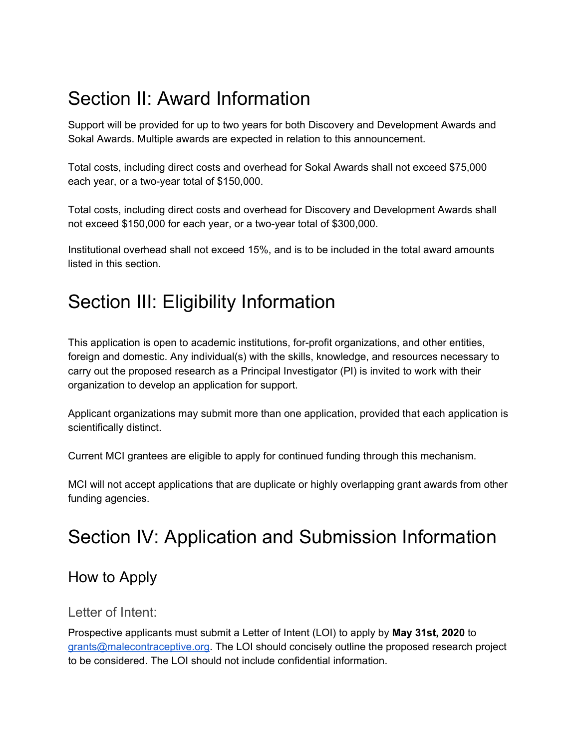## Section II: Award Information

Support will be provided for up to two years for both Discovery and Development Awards and Sokal Awards. Multiple awards are expected in relation to this announcement.

Total costs, including direct costs and overhead for Sokal Awards shall not exceed \$75,000 each year, or a two-year total of \$150,000.

Total costs, including direct costs and overhead for Discovery and Development Awards shall not exceed \$150,000 for each year, or a two-year total of \$300,000.

Institutional overhead shall not exceed 15%, and is to be included in the total award amounts listed in this section.

## Section III: Eligibility Information

This application is open to academic institutions, for-profit organizations, and other entities, foreign and domestic. Any individual(s) with the skills, knowledge, and resources necessary to carry out the proposed research as a Principal Investigator (PI) is invited to work with their organization to develop an application for support.

Applicant organizations may submit more than one application, provided that each application is scientifically distinct.

Current MCI grantees are eligible to apply for continued funding through this mechanism.

MCI will not accept applications that are duplicate or highly overlapping grant awards from other funding agencies.

### Section IV: Application and Submission Information

### How to Apply

#### Letter of Intent:

Prospective applicants must submit a Letter of Intent (LOI) to apply by **May 31st, 2020** to [grants@malecontraceptive.org.](mailto:grants@malecontraceptive.org) The LOI should concisely outline the proposed research project to be considered. The LOI should not include confidential information.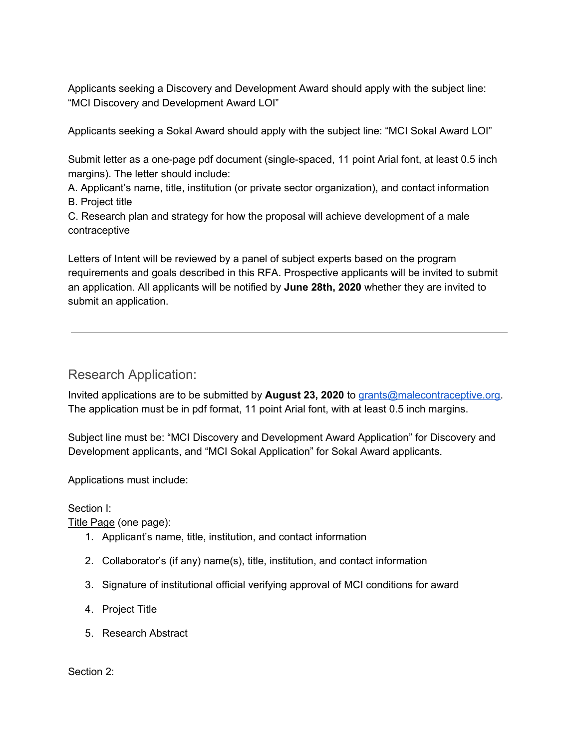Applicants seeking a Discovery and Development Award should apply with the subject line: "MCI Discovery and Development Award LOI"

Applicants seeking a Sokal Award should apply with the subject line: "MCI Sokal Award LOI"

Submit letter as a one-page pdf document (single-spaced, 11 point Arial font, at least 0.5 inch margins). The letter should include:

A. Applicant's name, title, institution (or private sector organization), and contact information B. Project title

C. Research plan and strategy for how the proposal will achieve development of a male contraceptive

Letters of Intent will be reviewed by a panel of subject experts based on the program requirements and goals described in this RFA. Prospective applicants will be invited to submit an application. All applicants will be notified by **June 28th, 2020** whether they are invited to submit an application.

Research Application:

Invited applications are to be submitted by **August 23, 2020** to [grants@malecontraceptive.org.](mailto:grants@malecontraceptive.org) The application must be in pdf format, 11 point Arial font, with at least 0.5 inch margins.

Subject line must be: "MCI Discovery and Development Award Application" for Discovery and Development applicants, and "MCI Sokal Application" for Sokal Award applicants.

Applications must include:

Section I:

Title Page (one page):

- 1. Applicant's name, title, institution, and contact information
- 2. Collaborator's (if any) name(s), title, institution, and contact information
- 3. Signature of institutional official verifying approval of MCI conditions for award
- 4. Project Title
- 5. Research Abstract

Section 2: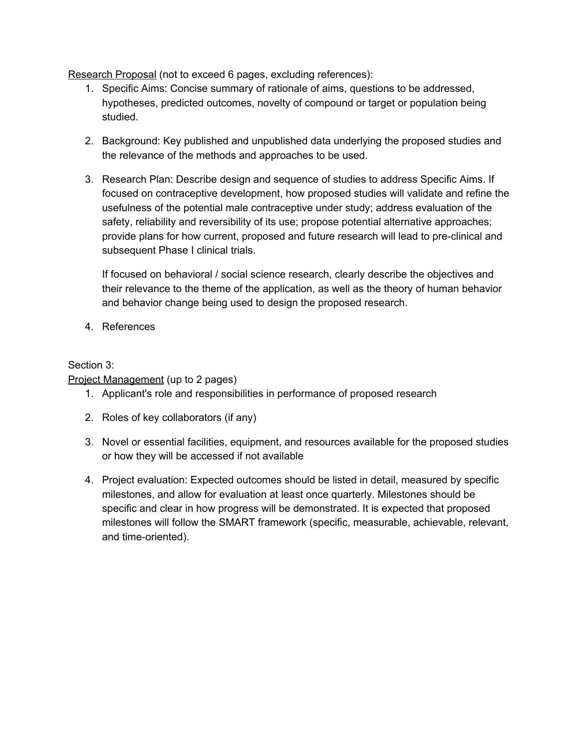Research Proposal (not to exceed 6 pages, excluding references):

- 1. Specific Aims: Concise summary of rationale of aims, questions to be addressed, hypotheses, predicted outcomes, novelty of compound or target or population being studied.
- 2. Background: Key published and unpublished data underlying the proposed studies and the relevance of the methods and approaches to be used.
- 3. Research Plan: Describe design and sequence of studies to address Specific Aims. If focused on contraceptive development, how proposed studies will validate and refine the usefulness of the potential male contraceptive under study; address evaluation of the safety, reliability and reversibility of its use; propose potential alternative approaches; provide plans for how current, proposed and future research will lead to pre-clinical and subsequent Phase I clinical trials.

If focused on behavioral / social science research, clearly describe the objectives and their relevance to the theme of the application, as well as the theory of human behavior and behavior change being used to design the proposed research.

4. References

#### Section 3:

Project Management (up to 2 pages)

- 1. Applicant's role and responsibilities in performance of proposed research
- 2. Roles of key collaborators (if any)
- 3. Novel or essential facilities, equipment, and resources available for the proposed studies or how they will be accessed if not available
- 4. Project evaluation: Expected outcomes should be listed in detail, measured by specific milestones, and allow for evaluation at least once quarterly. Milestones should be specific and clear in how progress will be demonstrated. It is expected that proposed milestones will follow the SMART framework (specific, measurable, achievable, relevant, and time-oriented).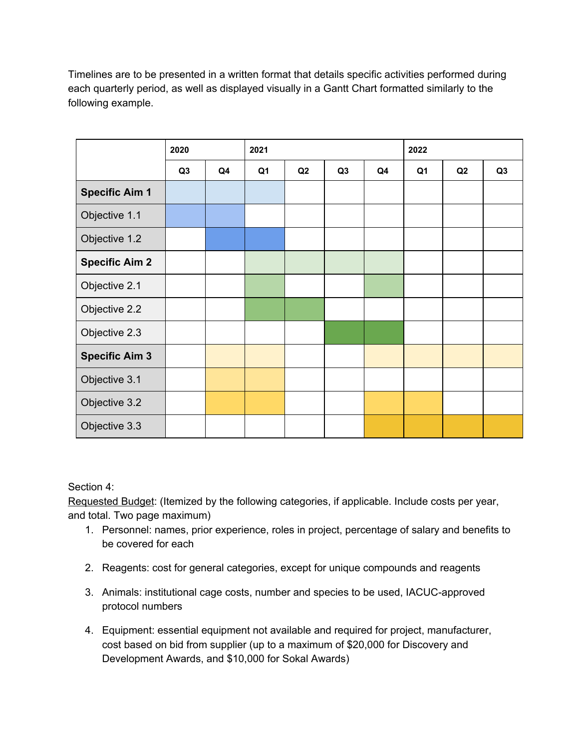Timelines are to be presented in a written format that details specific activities performed during each quarterly period, as well as displayed visually in a Gantt Chart formatted similarly to the following example.

|                       | 2020           |    | 2021 |    |                |    | 2022           |    |                |
|-----------------------|----------------|----|------|----|----------------|----|----------------|----|----------------|
|                       | Q <sub>3</sub> | Q4 | Q1   | Q2 | Q <sub>3</sub> | Q4 | Q <sub>1</sub> | Q2 | Q <sub>3</sub> |
| <b>Specific Aim 1</b> |                |    |      |    |                |    |                |    |                |
| Objective 1.1         |                |    |      |    |                |    |                |    |                |
| Objective 1.2         |                |    |      |    |                |    |                |    |                |
| <b>Specific Aim 2</b> |                |    |      |    |                |    |                |    |                |
| Objective 2.1         |                |    |      |    |                |    |                |    |                |
| Objective 2.2         |                |    |      |    |                |    |                |    |                |
| Objective 2.3         |                |    |      |    |                |    |                |    |                |
| <b>Specific Aim 3</b> |                |    |      |    |                |    |                |    |                |
| Objective 3.1         |                |    |      |    |                |    |                |    |                |
| Objective 3.2         |                |    |      |    |                |    |                |    |                |
| Objective 3.3         |                |    |      |    |                |    |                |    |                |

Section 4:

Requested Budget: (Itemized by the following categories, if applicable. Include costs per year, and total. Two page maximum)

- 1. Personnel: names, prior experience, roles in project, percentage of salary and benefits to be covered for each
- 2. Reagents: cost for general categories, except for unique compounds and reagents
- 3. Animals: institutional cage costs, number and species to be used, IACUC-approved protocol numbers
- 4. Equipment: essential equipment not available and required for project, manufacturer, cost based on bid from supplier (up to a maximum of \$20,000 for Discovery and Development Awards, and \$10,000 for Sokal Awards)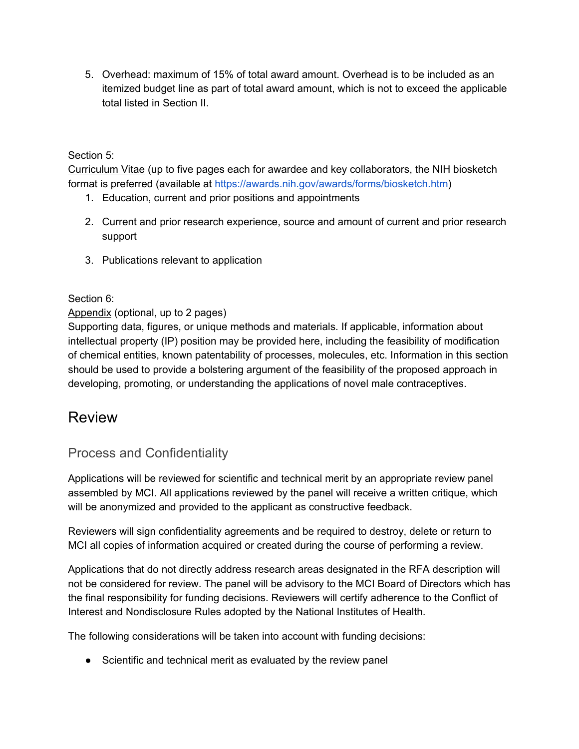5. Overhead: maximum of 15% of total award amount. Overhead is to be included as an itemized budget line as part of total award amount, which is not to exceed the applicable total listed in Section II.

#### Section 5:

Curriculum Vitae (up to five pages each for awardee and key collaborators, the NIH biosketch format is preferred (available at [https://awards.nih.gov/awards/forms/biosketch.htm\)](https://grants.nih.gov/grants/forms/biosketch.htm)

- 1. Education, current and prior positions and appointments
- 2. Current and prior research experience, source and amount of current and prior research support
- 3. Publications relevant to application

#### Section 6:

#### Appendix (optional, up to 2 pages)

Supporting data, figures, or unique methods and materials. If applicable, information about intellectual property (IP) position may be provided here, including the feasibility of modification of chemical entities, known patentability of processes, molecules, etc. Information in this section should be used to provide a bolstering argument of the feasibility of the proposed approach in developing, promoting, or understanding the applications of novel male contraceptives.

### Review

#### Process and Confidentiality

Applications will be reviewed for scientific and technical merit by an appropriate review panel assembled by MCI. All applications reviewed by the panel will receive a written critique, which will be anonymized and provided to the applicant as constructive feedback.

Reviewers will sign confidentiality agreements and be required to destroy, delete or return to MCI all copies of information acquired or created during the course of performing a review.

Applications that do not directly address research areas designated in the RFA description will not be considered for review. The panel will be advisory to the MCI Board of Directors which has the final responsibility for funding decisions. Reviewers will certify adherence to the Conflict of Interest and Nondisclosure Rules adopted by the National Institutes of Health.

The following considerations will be taken into account with funding decisions:

● Scientific and technical merit as evaluated by the review panel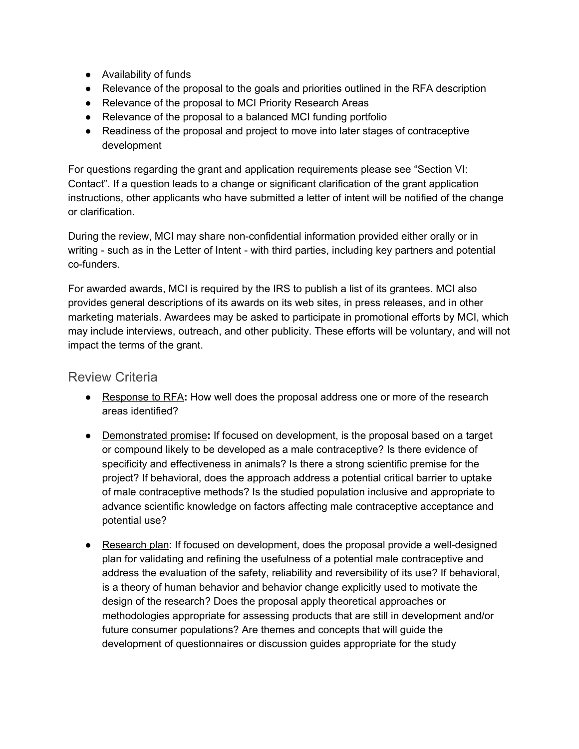- Availability of funds
- Relevance of the proposal to the goals and priorities outlined in the RFA description
- Relevance of the proposal to MCI Priority Research Areas
- Relevance of the proposal to a balanced MCI funding portfolio
- Readiness of the proposal and project to move into later stages of contraceptive development

For questions regarding the grant and application requirements please see "Section VI: Contact". If a question leads to a change or significant clarification of the grant application instructions, other applicants who have submitted a letter of intent will be notified of the change or clarification.

During the review, MCI may share non-confidential information provided either orally or in writing - such as in the Letter of Intent - with third parties, including key partners and potential co-funders.

For awarded awards, MCI is required by the IRS to publish a list of its grantees. MCI also provides general descriptions of its awards on its web sites, in press releases, and in other marketing materials. Awardees may be asked to participate in promotional efforts by MCI, which may include interviews, outreach, and other publicity. These efforts will be voluntary, and will not impact the terms of the grant.

#### Review Criteria

- Response to RFA**:** How well does the proposal address one or more of the research areas identified?
- Demonstrated promise**:** If focused on development, is the proposal based on a target or compound likely to be developed as a male contraceptive? Is there evidence of specificity and effectiveness in animals? Is there a strong scientific premise for the project? If behavioral, does the approach address a potential critical barrier to uptake of male contraceptive methods? Is the studied population inclusive and appropriate to advance scientific knowledge on factors affecting male contraceptive acceptance and potential use?
- Research plan: If focused on development, does the proposal provide a well-designed plan for validating and refining the usefulness of a potential male contraceptive and address the evaluation of the safety, reliability and reversibility of its use? If behavioral, is a theory of human behavior and behavior change explicitly used to motivate the design of the research? Does the proposal apply theoretical approaches or methodologies appropriate for assessing products that are still in development and/or future consumer populations? Are themes and concepts that will guide the development of questionnaires or discussion guides appropriate for the study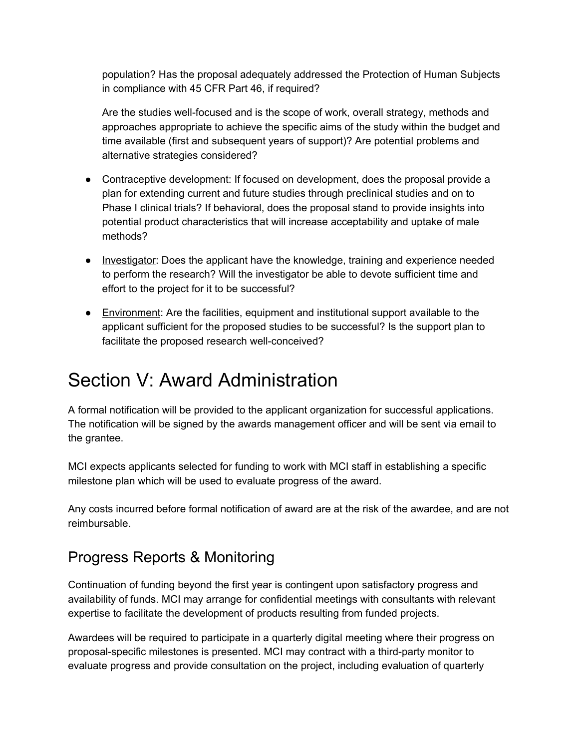population? Has the proposal adequately addressed the Protection of Human Subjects in compliance with 45 CFR Part 46, if required?

Are the studies well-focused and is the scope of work, overall strategy, methods and approaches appropriate to achieve the specific aims of the study within the budget and time available (first and subsequent years of support)? Are potential problems and alternative strategies considered?

- Contraceptive development: If focused on development, does the proposal provide a plan for extending current and future studies through preclinical studies and on to Phase I clinical trials? If behavioral, does the proposal stand to provide insights into potential product characteristics that will increase acceptability and uptake of male methods?
- Investigator: Does the applicant have the knowledge, training and experience needed to perform the research? Will the investigator be able to devote sufficient time and effort to the project for it to be successful?
- Environment: Are the facilities, equipment and institutional support available to the applicant sufficient for the proposed studies to be successful? Is the support plan to facilitate the proposed research well-conceived?

## Section V: Award Administration

A formal notification will be provided to the applicant organization for successful applications. The notification will be signed by the awards management officer and will be sent via email to the grantee.

MCI expects applicants selected for funding to work with MCI staff in establishing a specific milestone plan which will be used to evaluate progress of the award.

Any costs incurred before formal notification of award are at the risk of the awardee, and are not reimbursable.

### Progress Reports & Monitoring

Continuation of funding beyond the first year is contingent upon satisfactory progress and availability of funds. MCI may arrange for confidential meetings with consultants with relevant expertise to facilitate the development of products resulting from funded projects.

Awardees will be required to participate in a quarterly digital meeting where their progress on proposal-specific milestones is presented. MCI may contract with a third-party monitor to evaluate progress and provide consultation on the project, including evaluation of quarterly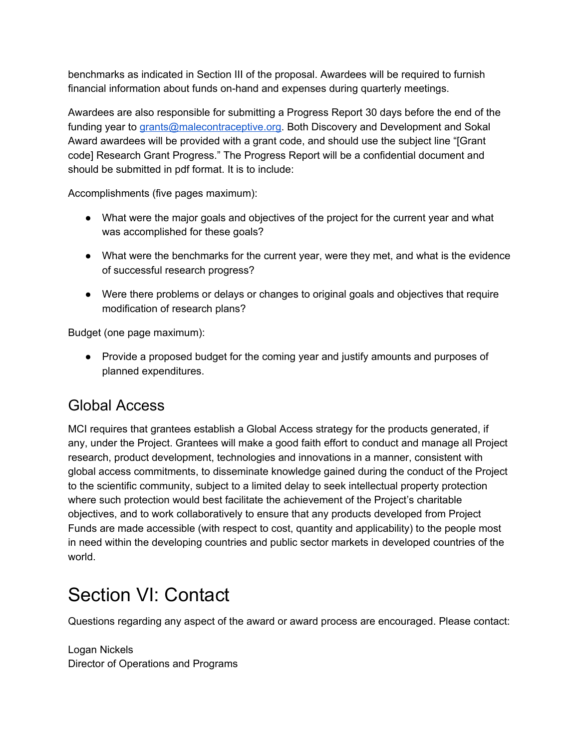benchmarks as indicated in Section III of the proposal. Awardees will be required to furnish financial information about funds on-hand and expenses during quarterly meetings.

Awardees are also responsible for submitting a Progress Report 30 days before the end of the funding year to [grants@malecontraceptive.org.](mailto:grants@malecontraceptive.org) Both Discovery and Development and Sokal Award awardees will be provided with a grant code, and should use the subject line "[Grant code] Research Grant Progress." The Progress Report will be a confidential document and should be submitted in pdf format. It is to include:

Accomplishments (five pages maximum):

- What were the major goals and objectives of the project for the current year and what was accomplished for these goals?
- What were the benchmarks for the current year, were they met, and what is the evidence of successful research progress?
- Were there problems or delays or changes to original goals and objectives that require modification of research plans?

Budget (one page maximum):

● Provide a proposed budget for the coming year and justify amounts and purposes of planned expenditures.

### Global Access

MCI requires that grantees establish a Global Access strategy for the products generated, if any, under the Project. Grantees will make a good faith effort to conduct and manage all Project research, product development, technologies and innovations in a manner, consistent with global access commitments, to disseminate knowledge gained during the conduct of the Project to the scientific community, subject to a limited delay to seek intellectual property protection where such protection would best facilitate the achievement of the Project's charitable objectives, and to work collaboratively to ensure that any products developed from Project Funds are made accessible (with respect to cost, quantity and applicability) to the people most in need within the developing countries and public sector markets in developed countries of the world.

# Section VI: Contact

Questions regarding any aspect of the award or award process are encouraged. Please contact:

Logan Nickels Director of Operations and Programs